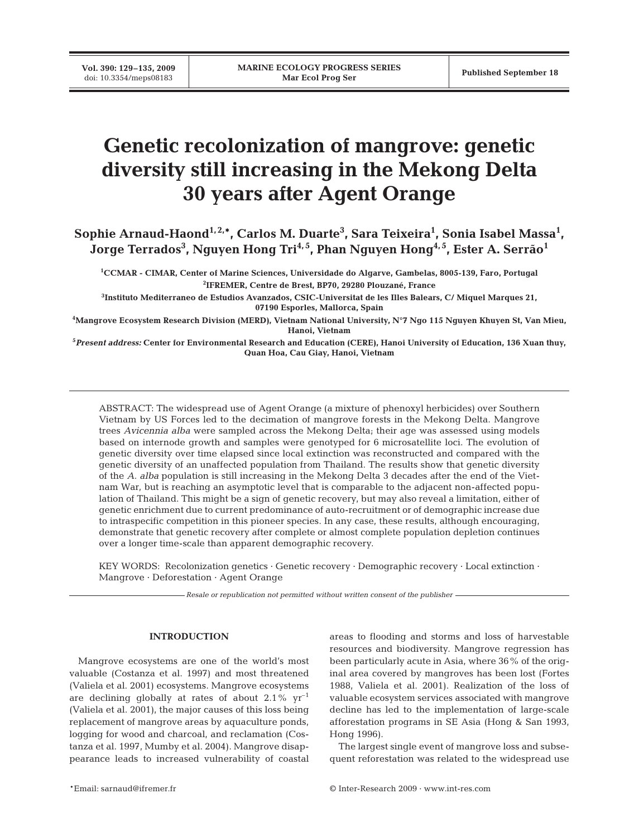# **Genetic recolonization of mangrove: genetic diversity still increasing in the Mekong Delta 30 years after Agent Orange**

**Sophie Arnaud-Haond1, 2,\*, Carlos M. Duarte3 , Sara Teixeira1 , Sonia Isabel Massa1 ,** Jorge Terrados<sup>3</sup>, Nguyen Hong Tri<sup>4,5</sup>, Phan Nguyen Hong<sup>4,5</sup>, Ester A. Serrão<sup>1</sup>

**1 CCMAR - CIMAR, Center of Marine Sciences, Universidade do Algarve, Gambelas, 8005-139, Faro, Portugal 2 IFREMER, Centre de Brest, BP70, 29280 Plouzané, France**

**3 Instituto Mediterraneo de Estudios Avanzados, CSIC-Universitat de les Illes Balears, C/ Miquel Marques 21, 07190 Esporles, Mallorca, Spain**

**4 Mangrove Ecosystem Research Division (MERD), Vietnam National University, N°7 Ngo 115 Nguyen Khuyen St, Van Mieu, Hanoi, Vietnam**

**5** *Present address:* **Center for Environmental Research and Education (CERE), Hanoi University of Education, 136 Xuan thuy, Quan Hoa, Cau Giay, Hanoi, Vietnam**

ABSTRACT: The widespread use of Agent Orange (a mixture of phenoxyl herbicides) over Southern Vietnam by US Forces led to the decimation of mangrove forests in the Mekong Delta. Mangrove trees *Avicennia alba* were sampled across the Mekong Delta; their age was assessed using models based on internode growth and samples were genotyped for 6 microsatellite loci. The evolution of genetic diversity over time elapsed since local extinction was reconstructed and compared with the genetic diversity of an unaffected population from Thailand. The results show that genetic diversity of the *A. alba* population is still increasing in the Mekong Delta 3 decades after the end of the Vietnam War, but is reaching an asymptotic level that is comparable to the adjacent non-affected population of Thailand. This might be a sign of genetic recovery, but may also reveal a limitation, either of genetic enrichment due to current predominance of auto-recruitment or of demographic increase due to intraspecific competition in this pioneer species. In any case, these results, although encouraging, demonstrate that genetic recovery after complete or almost complete population depletion continues over a longer time-scale than apparent demographic recovery.

KEY WORDS: Recolonization genetics  $\cdot$  Genetic recovery  $\cdot$  Demographic recovery  $\cdot$  Local extinction  $\cdot$ Mangrove · Deforestation · Agent Orange

*Resale or republication not permitted without written consent of the publisher*

# **INTRODUCTION**

Mangrove ecosystems are one of the world's most valuable (Costanza et al. 1997) and most threatened (Valiela et al. 2001) ecosystems. Mangrove ecosystems are declining globally at rates of about  $2.1\%$  yr<sup>-1</sup> (Valiela et al. 2001), the major causes of this loss being replacement of mangrove areas by aquaculture ponds, logging for wood and charcoal, and reclamation (Costanza et al. 1997, Mumby et al. 2004). Mangrove disappearance leads to increased vulnerability of coastal areas to flooding and storms and loss of harvestable resources and biodiversity. Mangrove regression has been particularly acute in Asia, where 36% of the original area covered by mangroves has been lost (Fortes 1988, Valiela et al. 2001). Realization of the loss of valuable ecosystem services associated with mangrove decline has led to the implementation of large-scale afforestation programs in SE Asia (Hong & San 1993, Hong 1996).

The largest single event of mangrove loss and subsequent reforestation was related to the widespread use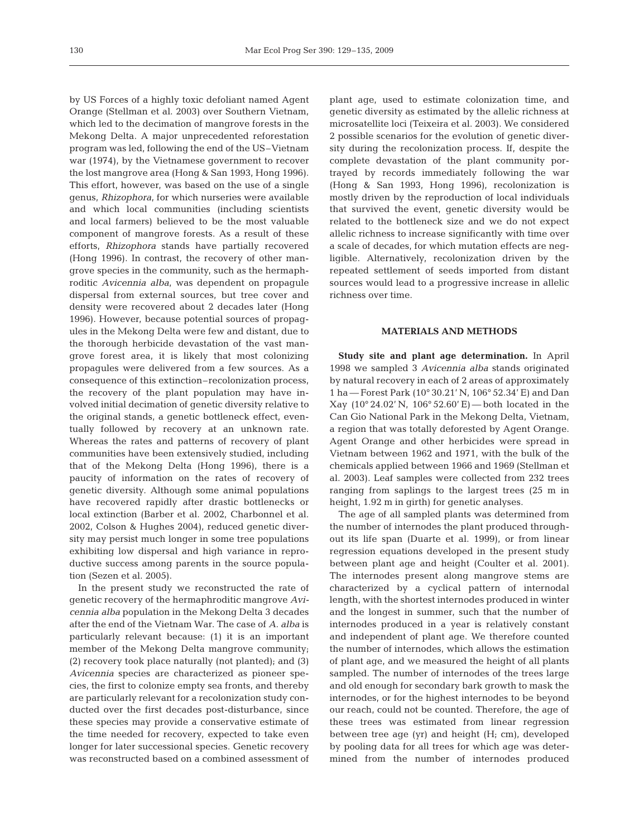by US Forces of a highly toxic defoliant named Agent Orange (Stellman et al. 2003) over Southern Vietnam, which led to the decimation of mangrove forests in the Mekong Delta. A major unprecedented reforestation program was led, following the end of the US–Vietnam war (1974), by the Vietnamese government to recover the lost mangrove area (Hong & San 1993, Hong 1996). This effort, however, was based on the use of a single genus, *Rhizophora*, for which nurseries were available and which local communities (including scientists and local farmers) believed to be the most valuable component of mangrove forests. As a result of these efforts, *Rhizophora* stands have partially recovered (Hong 1996). In contrast, the recovery of other mangrove species in the community, such as the hermaphroditic *Avicennia alba*, was dependent on propagule dispersal from external sources, but tree cover and density were recovered about 2 decades later (Hong 1996). However, because potential sources of propagules in the Mekong Delta were few and distant, due to the thorough herbicide devastation of the vast mangrove forest area, it is likely that most colonizing propagules were delivered from a few sources. As a consequence of this extinction–recolonization process, the recovery of the plant population may have involved initial decimation of genetic diversity relative to the original stands, a genetic bottleneck effect, eventually followed by recovery at an unknown rate. Whereas the rates and patterns of recovery of plant communities have been extensively studied, including that of the Mekong Delta (Hong 1996), there is a paucity of information on the rates of recovery of genetic diversity. Although some animal populations have recovered rapidly after drastic bottlenecks or local extinction (Barber et al. 2002, Charbonnel et al. 2002, Colson & Hughes 2004), reduced genetic diversity may persist much longer in some tree populations exhibiting low dispersal and high variance in reproductive success among parents in the source population (Sezen et al. 2005).

In the present study we reconstructed the rate of genetic recovery of the hermaphroditic mangrove *Avicennia alba* population in the Mekong Delta 3 decades after the end of the Vietnam War. The case of *A. alba* is particularly relevant because: (1) it is an important member of the Mekong Delta mangrove community; (2) recovery took place naturally (not planted); and (3) *Avicennia* species are characterized as pioneer species, the first to colonize empty sea fronts, and thereby are particularly relevant for a recolonization study conducted over the first decades post-disturbance, since these species may provide a conservative estimate of the time needed for recovery, expected to take even longer for later successional species. Genetic recovery was reconstructed based on a combined assessment of

plant age, used to estimate colonization time, and genetic diversity as estimated by the allelic richness at microsatellite loci (Teixeira et al. 2003). We considered 2 possible scenarios for the evolution of genetic diversity during the recolonization process. If, despite the complete devastation of the plant community portrayed by records immediately following the war (Hong & San 1993, Hong 1996), recolonization is mostly driven by the reproduction of local individuals that survived the event, genetic diversity would be related to the bottleneck size and we do not expect allelic richness to increase significantly with time over a scale of decades, for which mutation effects are negligible. Alternatively, recolonization driven by the repeated settlement of seeds imported from distant sources would lead to a progressive increase in allelic richness over time.

## **MATERIALS AND METHODS**

**Study site and plant age determination.** In April 1998 we sampled 3 *Avicennia alba* stands originated by natural recovery in each of 2 areas of approximately 1 ha — Forest Park (10° 30.21' N, 106° 52.34' E) and Dan Xay  $(10^{\circ} 24.02' N, 106^{\circ} 52.60' E)$  both located in the Can Gio National Park in the Mekong Delta, Vietnam, a region that was totally deforested by Agent Orange. Agent Orange and other herbicides were spread in Vietnam between 1962 and 1971, with the bulk of the chemicals applied between 1966 and 1969 (Stellman et al. 2003). Leaf samples were collected from 232 trees ranging from saplings to the largest trees (25 m in height, 1.92 m in girth) for genetic analyses.

The age of all sampled plants was determined from the number of internodes the plant produced throughout its life span (Duarte et al. 1999), or from linear regression equations developed in the present study between plant age and height (Coulter et al. 2001). The internodes present along mangrove stems are characterized by a cyclical pattern of internodal length, with the shortest internodes produced in winter and the longest in summer, such that the number of internodes produced in a year is relatively constant and independent of plant age. We therefore counted the number of internodes, which allows the estimation of plant age, and we measured the height of all plants sampled. The number of internodes of the trees large and old enough for secondary bark growth to mask the internodes, or for the highest internodes to be beyond our reach, could not be counted. Therefore, the age of these trees was estimated from linear regression between tree age (yr) and height (H; cm), developed by pooling data for all trees for which age was determined from the number of internodes produced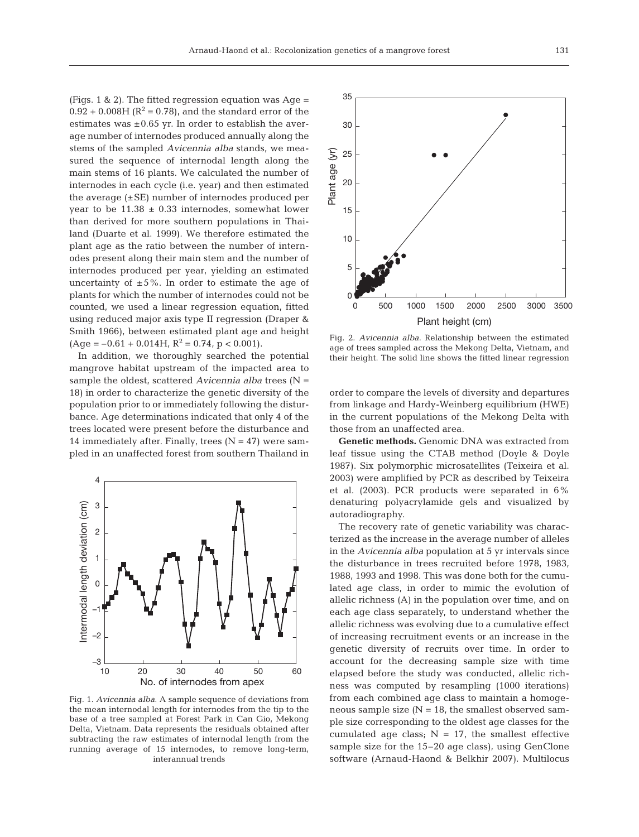(Figs. 1 & 2). The fitted regression equation was Age =  $0.92 + 0.008$ H ( $\mathbb{R}^2 = 0.78$ ), and the standard error of the estimates was  $\pm 0.65$  yr. In order to establish the average number of internodes produced annually along the stems of the sampled *Avicennia alba* stands, we measured the sequence of internodal length along the main stems of 16 plants. We calculated the number of internodes in each cycle (i.e. year) and then estimated the average  $(\pm SE)$  number of internodes produced per year to be  $11.38 \pm 0.33$  internodes, somewhat lower than derived for more southern populations in Thailand (Duarte et al. 1999). We therefore estimated the plant age as the ratio between the number of internodes present along their main stem and the number of internodes produced per year, yielding an estimated uncertainty of  $\pm 5\%$ . In order to estimate the age of plants for which the number of internodes could not be counted, we used a linear regression equation, fitted using reduced major axis type II regression (Draper & Smith 1966), between estimated plant age and height  $(Age = -0.61 + 0.014H, R^2 = 0.74, p < 0.001).$ 

In addition, we thoroughly searched the potential mangrove habitat upstream of the impacted area to sample the oldest, scattered *Avicennia alba* trees (N = 18) in order to characterize the genetic diversity of the population prior to or immediately following the disturbance. Age determinations indicated that only 4 of the trees located were present before the disturbance and 14 immediately after. Finally, trees  $(N = 47)$  were sampled in an unaffected forest from southern Thailand in



Fig. 1. *Avicennia alba*. A sample sequence of deviations from the mean internodal length for internodes from the tip to the base of a tree sampled at Forest Park in Can Gio, Mekong Delta, Vietnam. Data represents the residuals obtained after subtracting the raw estimates of internodal length from the running average of 15 internodes, to remove long-term, interannual trends



Fig. 2. *Avicennia alba*. Relationship between the estimated age of trees sampled across the Mekong Delta, Vietnam, and their height. The solid line shows the fitted linear regression

order to compare the levels of diversity and departures from linkage and Hardy-Weinberg equilibrium (HWE) in the current populations of the Mekong Delta with those from an unaffected area.

**Genetic methods.** Genomic DNA was extracted from leaf tissue using the CTAB method (Doyle & Doyle 1987). Six polymorphic microsatellites (Teixeira et al. 2003) were amplified by PCR as described by Teixeira et al. (2003). PCR products were separated in 6% denaturing polyacrylamide gels and visualized by autoradiography.

The recovery rate of genetic variability was characterized as the increase in the average number of alleles in the *Avicennia alba* population at 5 yr intervals since the disturbance in trees recruited before 1978, 1983, 1988, 1993 and 1998. This was done both for the cumulated age class, in order to mimic the evolution of allelic richness (A) in the population over time, and on each age class separately, to understand whether the allelic richness was evolving due to a cumulative effect of increasing recruitment events or an increase in the genetic diversity of recruits over time. In order to account for the decreasing sample size with time elapsed before the study was conducted, allelic richness was computed by resampling (1000 iterations) from each combined age class to maintain a homogeneous sample size  $(N = 18$ , the smallest observed sample size corresponding to the oldest age classes for the cumulated age class;  $N = 17$ , the smallest effective sample size for the 15–20 age class), using GenClone software (Arnaud-Haond & Belkhir 2007). Multilocus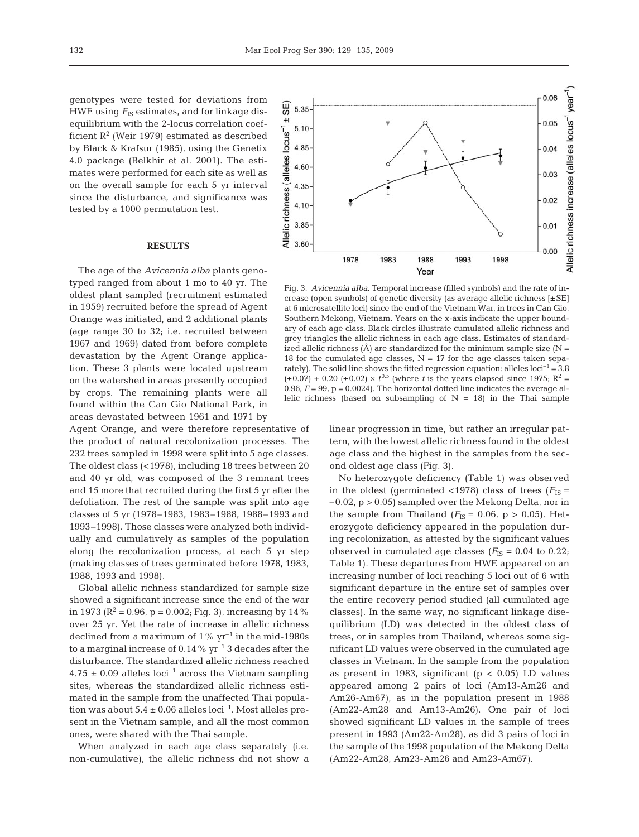genotypes were tested for deviations from HWE using  $F_{\text{IS}}$  estimates, and for linkage disequilibrium with the 2-locus correlation coefficient  $R^2$  (Weir 1979) estimated as described by Black & Krafsur (1985), using the Genetix 4.0 package (Belkhir et al. 2001). The estimates were performed for each site as well as on the overall sample for each 5 yr interval since the disturbance, and significance was tested by a 1000 permutation test.

### **RESULTS**

The age of the *Avicennia alba* plants genotyped ranged from about 1 mo to 40 yr. The oldest plant sampled (recruitment estimated in 1959) recruited before the spread of Agent Orange was initiated, and 2 additional plants (age range 30 to 32; i.e. recruited between 1967 and 1969) dated from before complete devastation by the Agent Orange application. These 3 plants were located upstream on the watershed in areas presently occupied by crops. The remaining plants were all found within the Can Gio National Park, in areas devastated between 1961 and 1971 by

Agent Orange, and were therefore representative of the product of natural recolonization processes. The 232 trees sampled in 1998 were split into 5 age classes. The oldest class (<1978), including 18 trees between 20 and 40 yr old, was composed of the 3 remnant trees and 15 more that recruited during the first 5 yr after the defoliation. The rest of the sample was split into age classes of 5 yr (1978–1983, 1983–1988, 1988–1993 and 1993–1998). Those classes were analyzed both individually and cumulatively as samples of the population along the recolonization process, at each 5 yr step (making classes of trees germinated before 1978, 1983, 1988, 1993 and 1998).

Global allelic richness standardized for sample size showed a significant increase since the end of the war in 1973 ( $\mathbb{R}^2$  = 0.96, p = 0.002; Fig. 3), increasing by 14 % over 25 yr. Yet the rate of increase in allelic richness declined from a maximum of  $1\%$  yr<sup>-1</sup> in the mid-1980s to a marginal increase of  $0.14\%$  yr<sup>-1</sup> 3 decades after the disturbance. The standardized allelic richness reached  $4.75 \pm 0.09$  alleles loci<sup>-1</sup> across the Vietnam sampling sites, whereas the standardized allelic richness estimated in the sample from the unaffected Thai population was about  $5.4 \pm 0.06$  alleles loci<sup>-1</sup>. Most alleles present in the Vietnam sample, and all the most common ones, were shared with the Thai sample.

When analyzed in each age class separately (i.e. non-cumulative), the allelic richness did not show a

Fig. 3. *Avicennia alba*. Temporal increase (filled symbols) and the rate of increase (open symbols) of genetic diversity (as average allelic richness [±SE] at 6 microsatellite loci) since the end of the Vietnam War, in trees in Can Gio, Southern Mekong, Vietnam. Years on the x-axis indicate the upper boundary of each age class. Black circles illustrate cumulated allelic richness and grey triangles the allelic richness in each age class. Estimates of standardized allelic richness  $(\hat{A})$  are standardized for the minimum sample size (N = 18 for the cumulated age classes,  $N = 17$  for the age classes taken separately). The solid line shows the fitted regression equation: alleles  $\text{loci}^{-1} = 3.8$  $(\pm 0.07) + 0.20$  ( $\pm 0.02$ ) ×  $t^{0.5}$  (where *t* is the years elapsed since 1975; R<sup>2</sup> = 0.96,  $F = 99$ ,  $p = 0.0024$ ). The horizontal dotted line indicates the average allelic richness (based on subsampling of  $N = 18$ ) in the Thai sample

linear progression in time, but rather an irregular pattern, with the lowest allelic richness found in the oldest age class and the highest in the samples from the second oldest age class (Fig. 3).

No heterozygote deficiency (Table 1) was observed in the oldest (germinated <1978) class of trees  $(F_{IS} =$  $-0.02$ ,  $p > 0.05$ ) sampled over the Mekong Delta, nor in the sample from Thailand  $(F_{IS} = 0.06, p > 0.05)$ . Heterozygote deficiency appeared in the population during recolonization, as attested by the significant values observed in cumulated age classes  $(F_{IS} = 0.04$  to 0.22; Table 1). These departures from HWE appeared on an increasing number of loci reaching 5 loci out of 6 with significant departure in the entire set of samples over the entire recovery period studied (all cumulated age classes). In the same way, no significant linkage disequilibrium (LD) was detected in the oldest class of trees, or in samples from Thailand, whereas some significant LD values were observed in the cumulated age classes in Vietnam. In the sample from the population as present in 1983, significant ( $p < 0.05$ ) LD values appeared among 2 pairs of loci (Am13-Am26 and Am26-Am67), as in the population present in 1988 (Am22-Am28 and Am13-Am26). One pair of loci showed significant LD values in the sample of trees present in 1993 (Am22-Am28), as did 3 pairs of loci in the sample of the 1998 population of the Mekong Delta (Am22-Am28, Am23-Am26 and Am23-Am67).

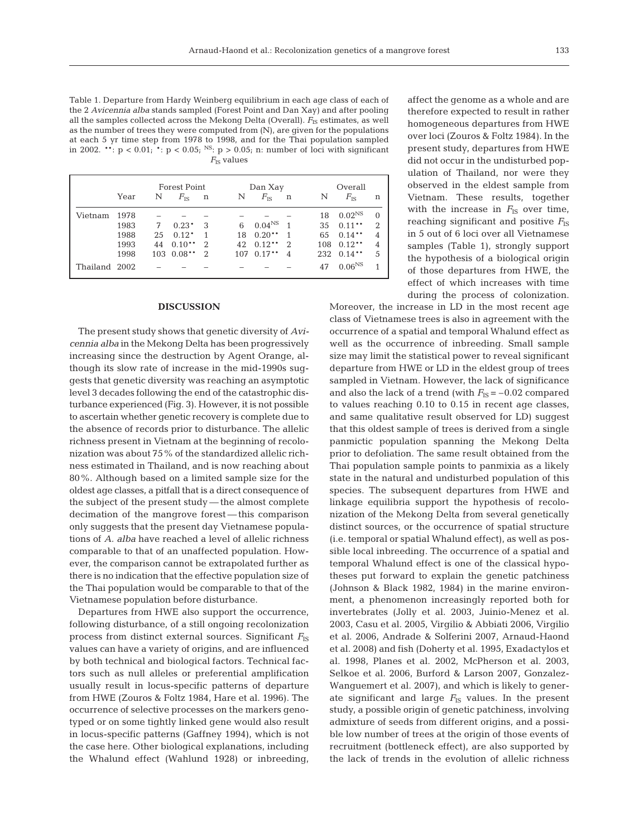Table 1. Departure from Hardy Weinberg equilibrium in each age class of each of the 2 *Avicennia alba* stands sampled (Forest Point and Dan Xay) and after pooling all the samples collected across the Mekong Delta (Overall).  $F_{\text{IS}}$  estimates, as well as the number of trees they were computed from (N), are given for the populations at each 5 yr time step from 1978 to 1998, and for the Thai population sampled in 2002. \*\*:  $p < 0.01$ ; \*:  $p < 0.05$ ; <sup>NS</sup>:  $p > 0.05$ ; n: number of loci with significant  $F_{\text{IS}}$  values

|               |      | <b>Forest Point</b> |              |               |    | Dan Xay            |                |     | Overall      |               |  |
|---------------|------|---------------------|--------------|---------------|----|--------------------|----------------|-----|--------------|---------------|--|
|               | Year | N                   | $F_{\rm IS}$ | $\mathbf n$   | N  | $F_{\rm IS}$       | $\mathbf n$    | N   | $F_{\rm IS}$ | n             |  |
| Vietnam       | 1978 |                     |              |               |    |                    |                | 18  | $0.02^{NS}$  | $\Omega$      |  |
|               | 1983 | 7                   | $0.23*$      | 3             | 6  | 0.04 <sup>NS</sup> | $\overline{1}$ | 35  | $0.11***$    | $\mathcal{D}$ |  |
|               | 1988 | 25                  | $0.12*$      |               | 18 | $0.20**$           | 1              | 65  | $0.14**$     | 4             |  |
|               | 1993 | 44                  | $0.10**$     | 2             | 42 | $0.12**$           | $\mathcal{D}$  | 108 | $0.12**$     | 4             |  |
|               | 1998 | 103                 | $0.08**$     | $\mathcal{D}$ |    | 107 0.17**         | 4              | 232 | $0.14**$     | 5             |  |
| Thailand 2002 |      |                     |              |               |    |                    |                | 47  | $0.06^{NS}$  |               |  |

#### **DISCUSSION**

The present study shows that genetic diversity of *Avicennia alba* in the Mekong Delta has been progressively increasing since the destruction by Agent Orange, although its slow rate of increase in the mid-1990s suggests that genetic diversity was reaching an asymptotic level 3 decades following the end of the catastrophic disturbance experienced (Fig. 3). However, it is not possible to ascertain whether genetic recovery is complete due to the absence of records prior to disturbance. The allelic richness present in Vietnam at the beginning of recolonization was about 75% of the standardized allelic richness estimated in Thailand, and is now reaching about 80%. Although based on a limited sample size for the oldest age classes, a pitfall that is a direct consequence of the subject of the present study — the almost complete decimation of the mangrove forest — this comparison only suggests that the present day Vietnamese populations of *A. alba* have reached a level of allelic richness comparable to that of an unaffected population. However, the comparison cannot be extrapolated further as there is no indication that the effective population size of the Thai population would be comparable to that of the Vietnamese population before disturbance.

Departures from HWE also support the occurrence, following disturbance, of a still ongoing recolonization process from distinct external sources. Significant  $F_{\text{IS}}$ values can have a variety of origins, and are influenced by both technical and biological factors. Technical factors such as null alleles or preferential amplification usually result in locus-specific patterns of departure from HWE (Zouros & Foltz 1984, Hare et al. 1996). The occurrence of selective processes on the markers genotyped or on some tightly linked gene would also result in locus-specific patterns (Gaffney 1994), which is not the case here. Other biological explanations, including the Whalund effect (Wahlund 1928) or inbreeding,

affect the genome as a whole and are therefore expected to result in rather homogeneous departures from HWE over loci (Zouros & Foltz 1984). In the present study, departures from HWE did not occur in the undisturbed population of Thailand, nor were they observed in the eldest sample from Vietnam. These results, together with the increase in  $F_{IS}$  over time, reaching significant and positive  $F_{\text{IS}}$ in 5 out of 6 loci over all Vietnamese samples (Table 1), strongly support the hypothesis of a biological origin of those departures from HWE, the effect of which increases with time during the process of colonization.

Moreover, the increase in LD in the most recent age class of Vietnamese trees is also in agreement with the occurrence of a spatial and temporal Whalund effect as well as the occurrence of inbreeding. Small sample size may limit the statistical power to reveal significant departure from HWE or LD in the eldest group of trees sampled in Vietnam. However, the lack of significance and also the lack of a trend (with  $F_{IS} = -0.02$  compared to values reaching 0.10 to 0.15 in recent age classes, and same qualitative result observed for LD) suggest that this oldest sample of trees is derived from a single panmictic population spanning the Mekong Delta prior to defoliation. The same result obtained from the Thai population sample points to panmixia as a likely state in the natural and undisturbed population of this species. The subsequent departures from HWE and linkage equilibria support the hypothesis of recolonization of the Mekong Delta from several genetically distinct sources, or the occurrence of spatial structure (i.e. temporal or spatial Whalund effect), as well as possible local inbreeding. The occurrence of a spatial and temporal Whalund effect is one of the classical hypotheses put forward to explain the genetic patchiness (Johnson & Black 1982, 1984) in the marine environment, a phenomenon increasingly reported both for invertebrates (Jolly et al. 2003, Juinio-Menez et al. 2003, Casu et al. 2005, Virgilio & Abbiati 2006, Virgilio et al. 2006, Andrade & Solferini 2007, Arnaud-Haond et al. 2008) and fish (Doherty et al. 1995, Exadactylos et al. 1998, Planes et al. 2002, McPherson et al. 2003, Selkoe et al. 2006, Burford & Larson 2007, Gonzalez-Wanguemert et al. 2007), and which is likely to generate significant and large  $F_{IS}$  values. In the present study, a possible origin of genetic patchiness, involving admixture of seeds from different origins, and a possible low number of trees at the origin of those events of recruitment (bottleneck effect), are also supported by the lack of trends in the evolution of allelic richness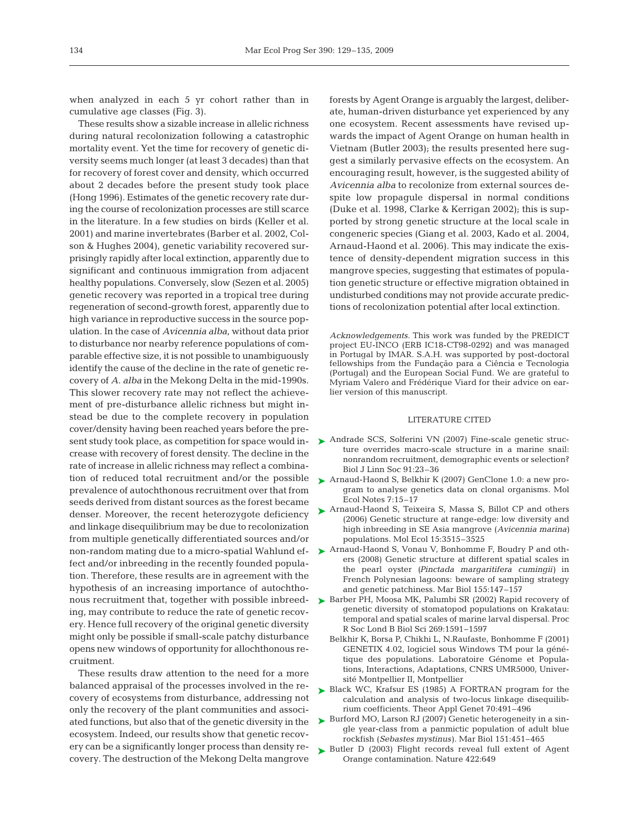when analyzed in each 5 yr cohort rather than in cumulative age classes (Fig. 3).

These results show a sizable increase in allelic richness during natural recolonization following a catastrophic mortality event. Yet the time for recovery of genetic diversity seems much longer (at least 3 decades) than that for recovery of forest cover and density, which occurred about 2 decades before the present study took place (Hong 1996). Estimates of the genetic recovery rate during the course of recolonization processes are still scarce in the literature. In a few studies on birds (Keller et al. 2001) and marine invertebrates (Barber et al. 2002, Colson & Hughes 2004), genetic variability recovered surprisingly rapidly after local extinction, apparently due to significant and continuous immigration from adjacent healthy populations. Conversely, slow (Sezen et al. 2005) genetic recovery was reported in a tropical tree during regeneration of second-growth forest, apparently due to high variance in reproductive success in the source population. In the case of *Avicennia alba*, without data prior to disturbance nor nearby reference populations of comparable effective size, it is not possible to unambiguously identify the cause of the decline in the rate of genetic recovery of *A. alba* in the Mekong Delta in the mid-1990s. This slower recovery rate may not reflect the achievement of pre-disturbance allelic richness but might instead be due to the complete recovery in population cover/density having been reached years before the present study took place, as competition for space would increase with recovery of forest density. The decline in the rate of increase in allelic richness may reflect a combination of reduced total recruitment and/or the possible prevalence of autochthonous recruitment over that from seeds derived from distant sources as the forest became denser. Moreover, the recent heterozygote deficiency and linkage disequilibrium may be due to recolonization from multiple genetically differentiated sources and/or fect and/or inbreeding in the recently founded population. Therefore, these results are in agreement with the hypothesis of an increasing importance of autochthonous recruitment that, together with possible inbreeding, may contribute to reduce the rate of genetic recovery. Hence full recovery of the original genetic diversity might only be possible if small-scale patchy disturbance opens new windows of opportunity for allochthonous recruitment.

These results draw attention to the need for a more balanced appraisal of the processes involved in the recovery of ecosystems from disturbance, addressing not only the recovery of the plant communities and associated functions, but also that of the genetic diversity in the ecosystem. Indeed, our results show that genetic recovery can be a significantly longer process than density recovery. The destruction of the Mekong Delta mangrove

forests by Agent Orange is arguably the largest, deliberate, human-driven disturbance yet experienced by any one ecosystem. Recent assessments have revised upwards the impact of Agent Orange on human health in Vietnam (Butler 2003); the results presented here suggest a similarly pervasive effects on the ecosystem. An encouraging result, however, is the suggested ability of *Avicennia alba* to recolonize from external sources despite low propagule dispersal in normal conditions (Duke et al. 1998, Clarke & Kerrigan 2002); this is supported by strong genetic structure at the local scale in congeneric species (Giang et al. 2003, Kado et al. 2004, Arnaud-Haond et al. 2006). This may indicate the existence of density-dependent migration success in this mangrove species, suggesting that estimates of population genetic structure or effective migration obtained in undisturbed conditions may not provide accurate predictions of recolonization potential after local extinction.

*Acknowledgements.* This work was funded by the PREDICT project EU-INCO (ERB IC18-CT98-0292) and was managed in Portugal by IMAR. S.A.H. was supported by post-doctoral fellowships from the Fundação para a Ciência e Tecnologia (Portugal) and the European Social Fund. We are grateful to Myriam Valero and Frédérique Viard for their advice on earlier version of this manuscript.

#### LITERATURE CITED

- ▶ Andrade SCS, Solferini VN (2007) Fine-scale genetic structure overrides macro-scale structure in a marine snail: nonrandom recruitment, demographic events or selection? Biol J Linn Soc 91:23–36
- ▶ Arnaud-Haond S, Belkhir K (2007) GenClone 1.0: a new program to analyse genetics data on clonal organisms. Mol Ecol Notes 7:15–17
- ▶ Arnaud-Haond S, Teixeira S, Massa S, Billot CP and others (2006) Genetic structure at range-edge: low diversity and high inbreeding in SE Asia mangrove (*Avicennia marina)* populations. Mol Ecol 15:3515–3525
- non-random mating due to a micro-spatial Wahlund ef-  $\quadblacktriangleright$  Arnaud-Haond S, Vonau V, Bonhomme F, Boudry P and others (2008) Genetic structure at different spatial scales in the pearl oyster *(Pinctada margaritifera cumingii)* in French Polynesian lagoons: beware of sampling strategy and genetic patchiness. Mar Biol 155:147–157
	- ► Barber PH, Moosa MK, Palumbi SR (2002) Rapid recovery of genetic diversity of stomatopod populations on Krakatau: temporal and spatial scales of marine larval dispersal. Proc R Soc Lond B Biol Sci 269:1591–1597
		- Belkhir K, Borsa P, Chikhi L, N.Raufaste, Bonhomme F (2001) GENETIX 4.02, logiciel sous Windows TM pour la génétique des populations. Laboratoire Génome et Populations, Interactions, Adaptations, CNRS UMR5000, Université Montpellier II, Montpellier
	- ► Black WC, Krafsur ES (1985) A FORTRAN program for the calculation and analysis of two-locus linkage disequilibrium coefficients. Theor Appl Genet 70:491–496
	- ► Burford MO, Larson RJ (2007) Genetic heterogeneity in a single year-class from a panmictic population of adult blue rockfish (*Sebastes mystinus)*. Mar Biol 151:451–465
	- ▶ Butler D (2003) Flight records reveal full extent of Agent Orange contamination. Nature 422:649